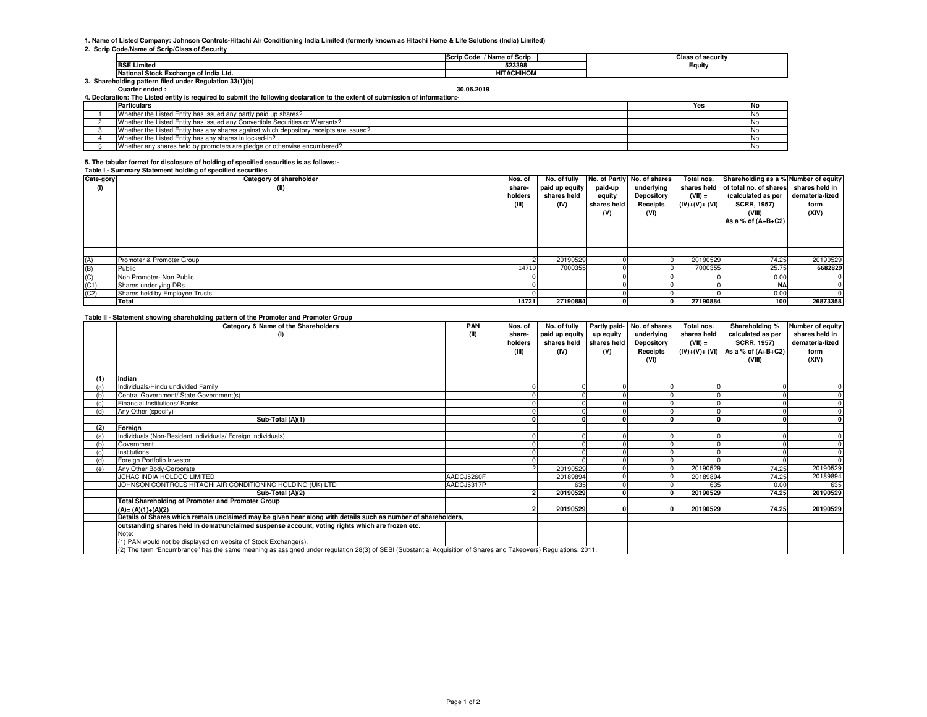### **1. Name of Listed Company: Johnson Controls-Hitachi Air Conditioning India Limited (formerly known as Hitachi Home & Life Solutions (India) Limited)**

### **2. Scrip Code/Name of Scrip/Class of Security**

|                                                      | / Name of Scrip<br>. Code<br>Scrip | Class of securitv |
|------------------------------------------------------|------------------------------------|-------------------|
| <b>BSE Limited</b>                                   | 523398                             | Equity            |
| National Stock Exchange of India Ltd.                | <b>ACHIHON</b><br>பா               |                   |
| Shareholding pattern filed under Regulation 33(1)(b) |                                    |                   |

#### **Quarter ended : 30.06.2019**

| 4. Declaration: The Listed entity is required to submit the following declaration to the extent of submission of information: |                                                                                        |  |     |    |  |  |
|-------------------------------------------------------------------------------------------------------------------------------|----------------------------------------------------------------------------------------|--|-----|----|--|--|
|                                                                                                                               | <b>Particulars</b>                                                                     |  | Yes | No |  |  |
|                                                                                                                               | Whether the Listed Entity has issued any partly paid up shares?                        |  |     |    |  |  |
|                                                                                                                               | Whether the Listed Entity has issued any Convertible Securities or Warrants?           |  |     |    |  |  |
|                                                                                                                               | Whether the Listed Entity has any shares against which depository receipts are issued? |  |     |    |  |  |
|                                                                                                                               | Whether the Listed Entity has any shares in locked-in?                                 |  |     |    |  |  |
|                                                                                                                               | Whether any shares held by promoters are pledge or otherwise encumbered?               |  |     |    |  |  |

## **5. The tabular format for disclosure of holding of specified securities is as follows:-**

**Table I - Summary Statement holding of specified securities**

| Cate-gory | Category of shareholder        | Nos. of |                |             | No. of fully No. of Partly No. of shares | Total nos.     | Shareholding as a % Number of equity              |                 |
|-----------|--------------------------------|---------|----------------|-------------|------------------------------------------|----------------|---------------------------------------------------|-----------------|
| (1)       | (II)                           | share-  | paid up equity | paid-up     | underlying                               |                | shares held of total no. of shares shares held in |                 |
|           |                                | holders | shares held    | equity      | Depository                               | $(VII) =$      | (calculated as per                                | demateria-lized |
|           |                                | (III)   | (IV)           | shares held | Receipts                                 | $(IV)+(V)+(V)$ | <b>SCRR, 1957)</b>                                | form            |
|           |                                |         |                | (V)         | (VI)                                     |                | (VIII)                                            | (XIV)           |
|           |                                |         |                |             |                                          |                | As a % of $(A+B+C2)$                              |                 |
|           |                                |         |                |             |                                          |                |                                                   |                 |
|           |                                |         |                |             |                                          |                |                                                   |                 |
|           |                                |         |                |             |                                          |                |                                                   |                 |
|           |                                |         |                |             |                                          |                |                                                   |                 |
| (A)       | Promoter & Promoter Group      |         | 20190529       |             |                                          | 20190529       | 74.25                                             | 20190529        |
| (B)       | Public                         | 14719   | 7000355        |             |                                          | 7000355        | 25.75                                             | 6682829         |
| (C)       | Non Promoter- Non Public       |         |                |             |                                          |                | 0.0                                               |                 |
| (C1)      | Shares underlying DRs          |         |                |             |                                          |                | NA                                                |                 |
| (C2)      | Shares held by Employee Trusts |         |                |             |                                          |                | 0.0                                               |                 |
|           | Total                          | 14721   | 27190884       |             |                                          | 27190884       | 100                                               | 26873358        |

# **Table II - Statement showing shareholding pattern of the Promoter and Promoter Group**

|     | rapic in clutchicit showing shareholding pattern or the rifolioter and rifolioter croup<br>Category & Name of the Shareholders                                  | <b>PAN</b> | Nos. of | No. of fully   | Partly paid- | No. of shares | Total nos.  | Shareholding %                       | Number of equity |
|-----|-----------------------------------------------------------------------------------------------------------------------------------------------------------------|------------|---------|----------------|--------------|---------------|-------------|--------------------------------------|------------------|
|     | (1)                                                                                                                                                             | (II)       | share-  | paid up equity | up equity    | underlying    | shares held | calculated as per                    | shares held in   |
|     |                                                                                                                                                                 |            | holders | shares held    | shares held  | Depository    | $(VII) =$   | <b>SCRR, 1957)</b>                   | demateria-lized  |
|     |                                                                                                                                                                 |            | (III)   | (IV)           | (V)          | Receipts      |             | $(IV)+(V)+(VI)$ As a % of $(A+B+C2)$ | form             |
|     |                                                                                                                                                                 |            |         |                |              | (VI)          |             | (VIII)                               | (XIV)            |
|     |                                                                                                                                                                 |            |         |                |              |               |             |                                      |                  |
| (1) | Indian                                                                                                                                                          |            |         |                |              |               |             |                                      |                  |
| (a) | Individuals/Hindu undivided Family                                                                                                                              |            |         |                |              |               |             |                                      |                  |
|     | Central Government/ State Government(s)                                                                                                                         |            |         |                |              |               |             |                                      |                  |
| (c) | Financial Institutions/ Banks                                                                                                                                   |            |         |                |              |               |             |                                      |                  |
| (d) | Any Other (specify)                                                                                                                                             |            |         |                |              |               |             |                                      |                  |
|     | Sub-Total (A)(1)                                                                                                                                                |            |         |                |              |               |             |                                      |                  |
| (2) | Foreign                                                                                                                                                         |            |         |                |              |               |             |                                      |                  |
| (a) | Individuals (Non-Resident Individuals/ Foreign Individuals)                                                                                                     |            |         |                |              |               |             |                                      |                  |
| (b) | Government                                                                                                                                                      |            |         |                |              |               |             |                                      |                  |
| (c) | Institutions                                                                                                                                                    |            |         |                |              |               |             |                                      |                  |
| (d) | Foreign Portfolio Investor                                                                                                                                      |            |         |                |              |               |             |                                      |                  |
| (e) | Any Other Body-Corporate                                                                                                                                        |            |         | 20190529       |              |               | 20190529    | 74.25                                | 20190529         |
|     | JCHAC INDIA HOLDCO LIMITED                                                                                                                                      | AADCJ5260F |         | 20189894       |              |               | 20189894    | 74.25                                | 20189894         |
|     | JOHNSON CONTROLS HITACHI AIR CONDITIONING HOLDING (UK) LTD                                                                                                      | AADCJ5317P |         | 635            |              |               | 635         | 0.00                                 | 635              |
|     | Sub-Total (A)(2)                                                                                                                                                |            |         | 20190529       |              |               | 20190529    | 74.25                                | 20190529         |
|     | Total Shareholding of Promoter and Promoter Group                                                                                                               |            |         |                |              |               |             |                                      |                  |
|     | $(A)=(A)(1)+(A)(2)$                                                                                                                                             |            |         | 20190529       |              |               | 20190529    | 74.25                                | 20190529         |
|     | Details of Shares which remain unclaimed may be given hear along with details such as number of shareholders,                                                   |            |         |                |              |               |             |                                      |                  |
|     | outstanding shares held in demat/unclaimed suspense account, voting rights which are frozen etc.                                                                |            |         |                |              |               |             |                                      |                  |
|     | Note:                                                                                                                                                           |            |         |                |              |               |             |                                      |                  |
|     | (1) PAN would not be displayed on website of Stock Exchange(s).                                                                                                 |            |         |                |              |               |             |                                      |                  |
|     | (2) The term "Encumbrance" has the same meaning as assigned under regulation 28(3) of SEBI (Substantial Acquisition of Shares and Takeovers) Regulations, 2011. |            |         |                |              |               |             |                                      |                  |